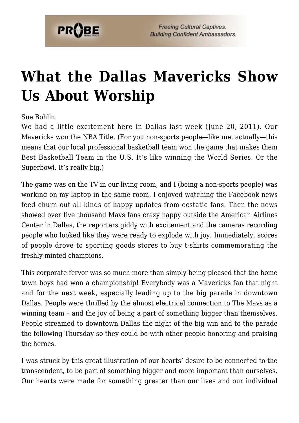

## **[What the Dallas Mavericks Show](https://probe.org/what-the-dallas-mavericks-show-us-about-worship/) [Us About Worship](https://probe.org/what-the-dallas-mavericks-show-us-about-worship/)**

Sue Bohlin

We had a little excitement here in Dallas last week (June 20, 2011). Our Mavericks won the NBA Title. (For you non-sports people—like me, actually—this means that our local professional basketball team won the game that makes them Best Basketball Team in the U.S. It's like winning the World Series. Or the Superbowl. It's really big.)

The game was on the TV in our living room, and I (being a non-sports people) was working on my laptop in the same room. I enjoyed watching the Facebook news feed churn out all kinds of happy updates from ecstatic fans. Then the news showed over five thousand Mavs fans crazy happy outside the American Airlines Center in Dallas, the reporters giddy with excitement and the cameras recording people who looked like they were ready to explode with joy. Immediately, scores of people drove to sporting goods stores to buy t-shirts commemorating the freshly-minted champions.

This corporate fervor was so much more than simply being pleased that the home town boys had won a championship! Everybody was a Mavericks fan that night and for the next week, especially leading up to the big parade in downtown Dallas. People were thrilled by the almost electrical connection to The Mavs as a winning team – and the joy of being a part of something bigger than themselves. People streamed to downtown Dallas the night of the big win and to the parade the following Thursday so they could be with other people honoring and praising the heroes.

I was struck by this great illustration of our hearts' desire to be connected to the transcendent, to be part of something bigger and more important than ourselves. Our hearts were made for something greater than our lives and our individual